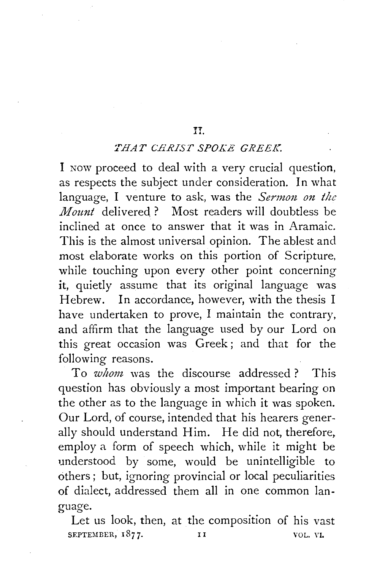## H.

## *THAT CHRIST SPOKE GREEK.*

I NOW proceed to deal with a very crucial question, as respects the subject under consideration. In what language, I venture to ask, was the *Sermon on the Mount* delivered? Most readers will doubtless be inclined at once to answer that it was in Aramaic. This is the almost universal opinion. The ablest and most elaborate works on this portion of Scripture, while touching upon every other point concerning it, quietly assume that its original language was Hebrew. In accordance, however, with the thesis I have undertaken to prove, I maintain the contrary, and affirm that the language used by our Lord on this great occasion was Greek; and that for the following reasons.

To *whom,* was the discourse addressed ? This question has obviously a most important bearing on the other as to the language in which it was spoken. Our Lord, of course, intended that his hearers generally should understand Him. He did not, therefore, employ a form of speech which, while it might be understood by some, would be unintelligible to others; but, ignoring provincial or local peculiarities of dialect, addressed them all in one common language.

Let us look, then, at the composition of his vast SEPTEMBER, 1877. II VOL. VI.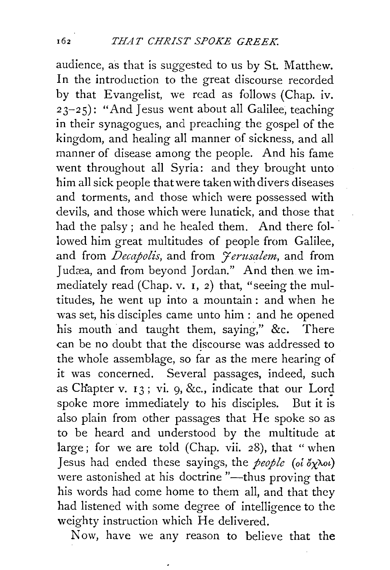audience, as that is suggested to us by St. Matthew. In the introduction to the great discourse recorded by that Evangelist, we read as follows (Chap. iv. 2 3-2 5): "And Jesus went about all Galilee, teaching in their synagogues, and preaching the gospel of the kingdom, and healing all manner of sickness, and all manner of disease among the people. And his fame went throughout all Syria: and they brought unto him all sick people that were taken with divers diseases and torments, and those which were possessed with devils, and those which were lunatick, and those that had the palsy; and he healed them. And there followed him great multitudes of people from Galilee. and from *Decapolis*, and from *Jerusalem*, and from Judæa, and from beyond Jordan." And then we immediately read (Chap. v. I, 2) that, "seeing the multitudes, he went up into a mountain: and when he was set, his disciples came unto him: and he opened his mouth and taught them, saying," &c. There can be no doubt that the discourse was addressed to the whole assemblage, so far as the mere hearing of it was concerned. Several passages, indeed, such as Chapter v.  $13$ ; vi. 9, &c., indicate that our Lord spoke more immediately to his disciples. But it is also plain from other passages that He spoke so as to be heard and understood by the multitude at large; for we are told (Chap. vii. 28), that "when Jesus had ended these sayings, the *people* (oi  $\partial x \lambda \omega$ ) were astonished at his doctrine "--thus proving that his words had come home to them all, and that they had listened with some degree of intelligence to the weighty instruction which He delivered.

Now, have we any reason to believe that the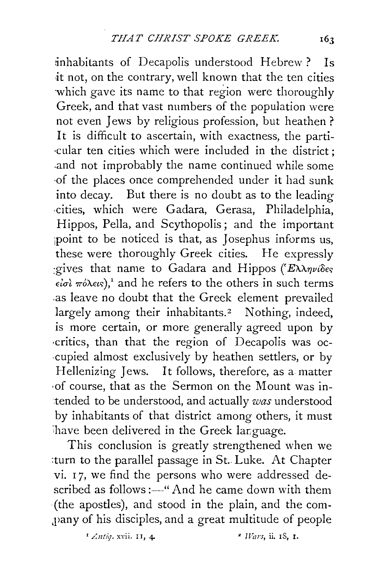inhabitants of Decapolis understood Hebrew ? Is it not, on the contrary, well known that the ten cities which gave its name to that region were thoroughly Greek, and that vast numbers of the population were not even Jews by religious profession, but heathen ? It is difficult to ascertain, with exactness, the parti- ·cular ten cities which were included in the district ; .and not improbably the name continued while some ·of the places once comprehended under it had sunk into decay. But there is no doubt as to the leading ·cities, which were Gadara, Gerasa, Philadelphia, Hippos, Pella, and Scythopolis; and the important point to be noticed is that, as Josephus informs us, these were thoroughly Greek cities. He expressly tives that name to Gadara and Hippos (Έλληνίδες  $\epsilon i\sigma i$   $\pi \acute{o} \lambda \epsilon \iota s$ , and he refers to the others in such terms .as leave no doubt that the Greek element prevailed largely among their inhabitants.<sup>2</sup> Nothing, indeed, is more certain, or more generally agreed upon by ·critics, than that the region of Decapolis was oc- ·Cupied almost exclusively by heathen settlers, or by Hellenizing Jews. It follows, therefore, as a matter ·of course, that as the Sermon on the Mount was intended to be understood, and actually *was* understood by inhabitants of that district among others, it must have been delivered in the Greek language.

This conclusion is greatly strengthened when we :turn to the parallel passage in St. Luke. At Chapter vi. 17, we find the persons who were addressed described as follows :---"And he came down with them (the apostles), and stood in the plain, and the com- ,pany of his disciples, and a great multitude of people

*'/.ntiq.* xvii. II, 4 • *lVars,* ii. IS, I.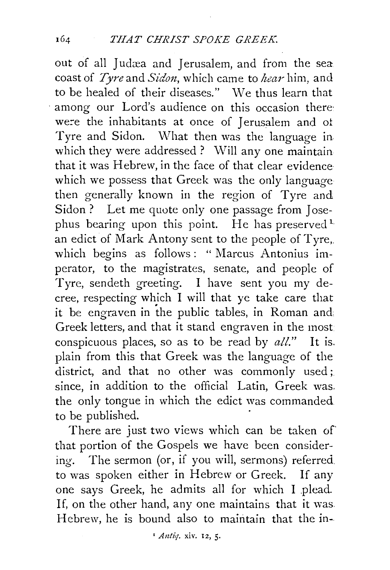out of all Judæa and Jerusalem, and from the sea coast of *Tyre* and *Sidon,* which came to *hear* him, and to be healed of their diseases." We thus learn that among our Lord's audience on this occasion there: we:e the inhabitants at once of Jerusalem and ot Tyre and Sidon. What then was the language in. which they were addressed ? Will any one maintain that it was Hebrew, in the face of that clear evidence which we possess that Greek was the only language then generally known in the region of Tyre and Sidon ? Let me quote only one passage from Josephus bearing upon this point. He has preserved<sup>1</sup> an edict of Mark Antony sent to the people of Tyre,. which begins as follows: " Marcus Antonius imperator, to the magistrates, senate, and people of Tyre, sendeth greeting. I have sent you my decree, respecting which I will that ye take care that it be engraven in the public tables, in Roman and: Greek letters, and that it stand engraven in the most conspicuous places, so as to be read by *all."* It is. plain from this that Greek was the language of the district, and that no other was commonly used; since, in addition to the official Latin, Greek was. the only tongue in which the edict was commanded to be published.

There are just two views which can be taken of that portion of the Gospels we have been considering. The sermon (or, if you will, sermons) referred to was spoken either in Hebrew or Greek. If any one says Greek, he admits all for which I plead. If, on the other hand, any one maintains that it was Hebrew, he is bound also to maintain that the in-

*'Antiq.* xiv. 12, 5·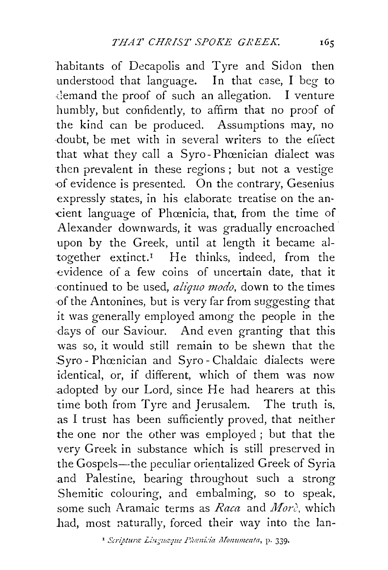habitants of Decapolis and Tyre and Sidon then understood that language. In that case, I beg to demand the proof of such an allegation. I venture humbly, but confidently, to affirm that no proof of the kind can be produced. Assumptions may, no doubt, be met with in several writers to the effect that what they call a Syro-Phœnician dialect was then prevalent in these regions ; but not a vestige ·of evidence is presented. On the contrary, Gesenius expressly states, in his elaborate treatise on the an- -cient language of Phcenicia, that, from the time of Alexander downwards, it was gradually encroached upon by the Greek, until at length it became altogether extinct.<sup>1</sup> He thinks, indeed, from the ·evidence of a few coins of uncertain date, that it continued to be used, *aliquo modo*, down to the times ·of the Antonines, but is very far from suggesting that it was generally employed among the people in the days of our Saviour. And even granting that this was so, it would still remain to be shewn that the Syro-Phœnician and Syro-Chaldaic dialects were identical, or, if different, which of them was now .adopted by our Lord, since He had hearers at this time both from Tyre and Jerusalem. The truth is, as I trust has been sufficiently proved, that neither the one nor the other was employed ; but that the very Greek in substance which is still preserved in the Gospels-the peculiar orientalized Greek of Syria and Palestine, bearing throughout such a strong Shemitic colouring, and embalming, so to speak, some such Aramaic terms as Raca and More, which had, most naturally, forced their way into the lan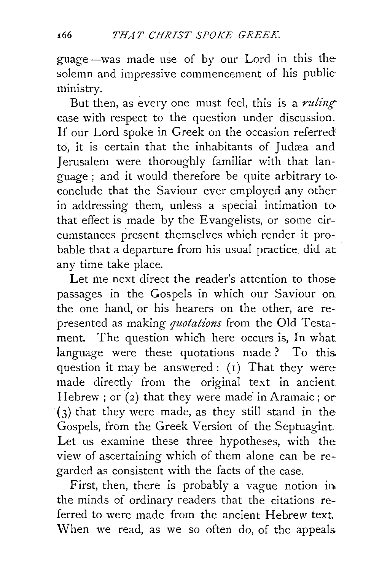guage-was made use of by our Lord in this the solemn and impressive commencement of his public· ministry.

But then, as every one must feel, this is a *ruling* case with respect to the question under discussion. If our Lord spoke in Greek on the occasion referred! to, it is certain that the inhabitants of Judæa and Jerusalem were thoroughly familiar with that language ; and it would therefore be quite arbitrary to· conclude that the Saviour ever employed any other in addressing them, unless a special intimation tothat effect is made by the Evangelists, or some circumstances present themselves which render it probable that a departure from his usual practice did at any time take place.

Let me next direct the reader's attention to those passages in the Gospels in which our Saviour on the one hand, or his hearers on the other, are represented as making *quotations* from the Old Testament. The question which here occurs is, In what language were these quotations made? To this question it may be answered: (r) That they were made directly from the original text in ancient Hebrew; or  $(2)$  that they were made in Aramaic; or (3) that they were made, as they still stand in the Gospels, from the Greek Version of the Septuagint Let us examine these three hypotheses, with the view of ascertaining which of them alone can be regarded as consistent with the facts of the case.

First, then, there is probably a vague notion in. the minds of ordinary readers that the citations referred to were made from the ancient Hebrew text. When we read, as we so often do, of the appeals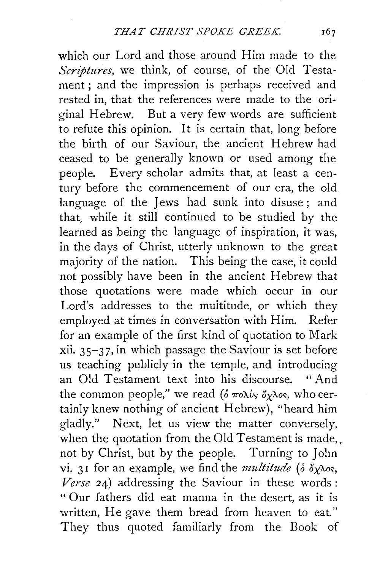which our Lord and those around Him made to the *Scriptures,* we think, of course, of the Old Testament; and the impression is perhaps received and rested in, that the references were made to the original Hebrew. But a very few words are sufficient to refute this opinion. It is certain that, long before the birth of our Saviour, the ancient Hebrew had ceased to be generally known or used among the people. Every scholar admits that, at least a century before the commencement of our era, the old language of the Jews had sunk into disuse ; and that, while it still continued to be studied by the learned as being the language of inspiration, it was, in the days of Christ, utterly unknown to the great majority of the nation. This being the case, it could not possibly have been in the ancient Hebrew that those quotations were made which occur in our Lord's addresses to the multitude, or which they employed at times in conversation with Him. Refer for an example of the first kind of quotation to Mark xii. 35-37, in which passage the Saviour is set before us teaching publicly in the temple, and introducing an Old Testament text into his discourse. "And the common people," we read ( $\delta \pi$ o $\lambda \nu$ *s*,  $\delta \gamma \lambda$ os, who certainly knew nothing of ancient Hebrew), ''heard him gladly." Next, let us view the matter conversely, when the quotation from the Old Testament is made, not by Christ, but by the people. Turning to John vi. 31 for an example, we find the *multitude* ( $\delta \gamma \lambda$ os, *Verse* 24) addressing the Saviour in these words : " Our fathers did eat manna in the desert, as it is written, He gave them bread from heaven to eat." They thus quoted familiarly from the Book of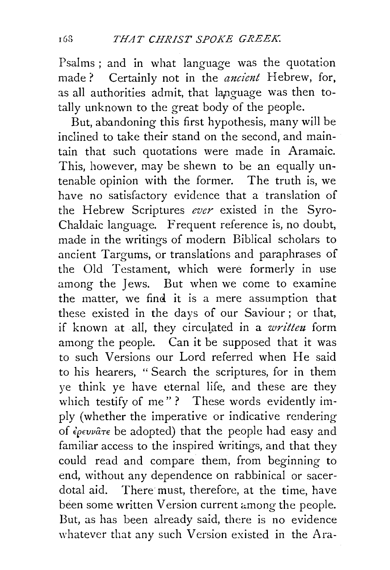Psalms; and in what language was the quotation made? Certainly not in the *ancient* Hebrew, for, as all authorities admit, that language was then totally unknown to the great body of the people.

But, abandoning this first hypothesis, many will be inclined to take their stand on the second, and maintain that such quotations were made in Aramaic. This, however, may be shewn to be an equally untenable opinion with the former. The truth is, we have no satisfactory evidence that a translation of the Hebrew Scriptures *ever* existed in the Syro-Chaldaic language. Frequent reference is, no doubt, made in the writings of modern Biblical scholars to ancient Targums, or translations and paraphrases of the Old Testament, which were formerly in use among the Jews. But when we come to examine the matter, we find it is a mere assumption that these existed in the days of our Saviour; or that, if known at all, they circulated in a *written* form among the people. Can it be supposed that it was to such Versions our Lord referred when He said to his hearers, " Search the scriptures, for in them ye think ye have eternal life, and these are they which testify of me"? These words evidently imply (whether the imperative or indicative rendering of *€pwvaTe* be adopted) that the people had easy and familiar access to the inspired writings, and that they could read and compare them, from beginning to end, without any dependence on rabbinical or sacerdotal aid. There must, therefore, at the time, have been some written Version current among the people. But, as has been already said, there is no evidence whatever that any such Version existed in the Ara-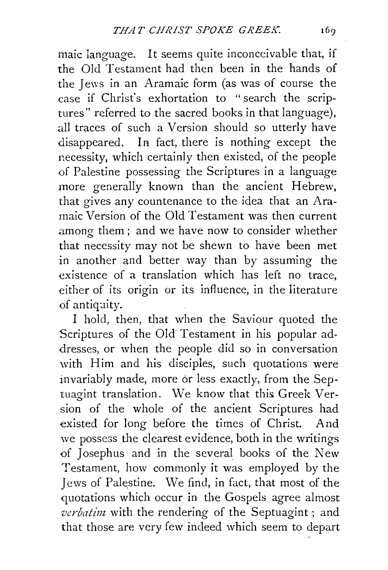maic language. It seems quite inconceivable that, if the Old Testament had then been in the hands of the Jews in an Aramaic form (as was of course the case if Christ's exhortation to "search the scriptures" referred to the sacred books in that language), all traces of such a Version should so utterly have disappeared. In fact, there is nothing except the necessity, which certainly then existed, of the people of Palestine possessing the Scriptures in a language more generally known than the ancient Hebrew, that gives any countenance to the idea that an Aramaic Version of the Old Testament was then current among them; and we have now to consider whether that necessity may not be shewn to have been met in another and better way than by assuming the existence of a translation which has left no trace, either of its origin or its influence, in the literature of antiquity.

I hold, then, that when the Saviour quoted the Scriptures of the Old Testament in his popular addresses, or when the people did so in conversation with Him and his disciples, such quotations were invariably made, more or less exactly, from the Septuagint translation. We know that this Greek Version of the whole of the ancient Scriptures had existed for long before the times of Christ. And we possess the clearest evidence, both in the writings of Josephus and in the several books of the New Testament, how commonly it was employed by the Jews of Palestine. \Ve find, in fact, that most of the quotations which occur in the Gospels agree almost *verbatim* with the rendering of the Septuagint; and that those are very few indeed which seem to depart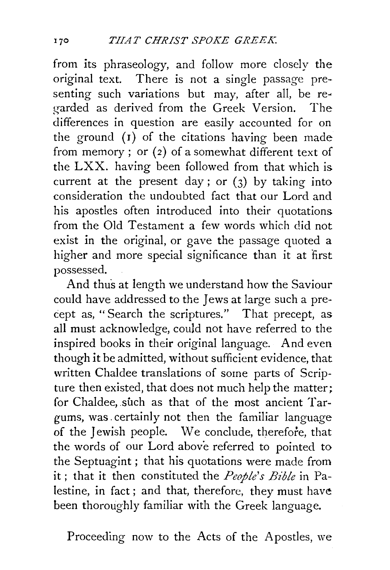from its phraseology, and follow more closely the original text. There is not a single passage presenting such variations but may, after all, be re• garded as derived from the Greek Version. The differences in question are easily accounted for on the ground  $(I)$  of the citations having been made from memory; or  $(2)$  of a somewhat different text of the LXX. having been followed from that which is current at the present day; or  $(3)$  by taking into consideration the undoubted fact that our Lord and his apostles often introduced into their quotations from the Old Testament a few words which did not exist in the original, or gave the passage quoted a higher and more special significance than it at first possessed.

And thus at length we understand how the Saviour could have addressed to the Jews at large such a precept as, "Search the scriptures." That precept, as all must acknowledge, could not have referred to the inspired books in their original language. And even though it be admitted, without sufficient evidence, that written Chaldee translations of some parts of Scripture then existed, that does not much help the matter; for Chaldee, such as that of the most ancient Targums, was. certainly not then the familiar language of the Jewish people. We conclude, therefore, that the words of our Lord above referred to pointed to the Septuagint; that his quotations were made from it ; that it then constituted the *People's Bible* in Palestine, in fact ; and that, therefore, they must have been thoroughly familiar with the Greek language.

Proceeding now to the Acts of the Apostles, we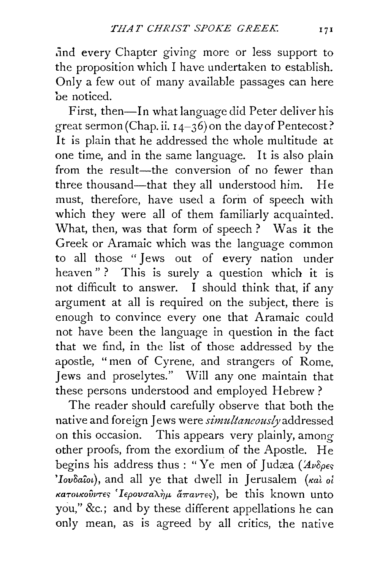.ind every Chapter giving more or less support to the proposition which I have undertaken to establish. Only a few out of many available passages can here be noticed.

First, then-In what language did Peter deliver his great sermon (Chap. ii.  $14-36$ ) on the day of Pentecost? It is plain that he addressed the whole multitude at one time, and in the same language. It is also plain from the result-the conversion of no fewer than three thousand-that they all understood him. He must, therefore, have used a form of speech with which they were all of them familiarly acquainted. What, then, was that form of speech? Was it the Greek or Aramaic which was the language common to all those " Jews out of every nation under heaven"? This is surely a question which it is not difficult to answer. I should think that, if any argument at all is required on the subject, there is enough to convince every one that Aramaic could not have been the language in question in the fact that we find, in the list of those addressed by the apostle, "men of Cyrene, and strangers of Rome, Jews and proselytes." Will any one maintain that these persons understood and employed Hebrew?

The reader should carefully observe that both the native and foreign Jews were *simultaneously* addressed on this occasion. This appears very plainly, among other proofs, from the exordium of the Apostle. He begins his address thus : "Ye men of Judæa ( $Av\delta_{\rho\epsilon s}$ *'Iovoaio£),* and all ye that dwell in Jerusalem *(Kal* oi *KaTo£KovvTE'> 'lEpovrm)l.hf' lhravTE'>* ), be this known unto you," &c.; and by these different appellations he can only mean, as is agreed by all critics, the native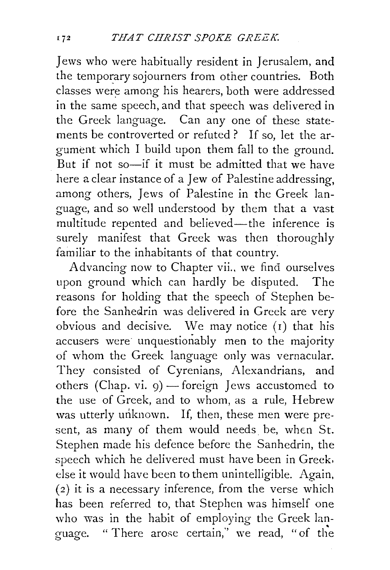Jews who were habitually resident in Jerusalem, and the temporary sojourners from other countries. Both classes were among his hearers, both were addressed in the same speech, and that speech was delivered in the Greek language. Can any one of these statements be controverted or refuted ? If so, let the argument which I build upon them fall to the ground. But if not so—if it must be admitted that we have here a clear instance of a Jew of Palestine addressing, among others, Jews of Palestine in the Greek language, and so well understood by them that a vast multitude repented and believed—the inference is surely manifest that Greek was then thoroughly familiar to the inhabitants of that country.

Advancing now to Chapter vii., we find ourselves upon ground which can hardly be disputed. The reasons for holding that the speech of Stephen before the Sanhedrin was delivered in Greek are very obvious and decisive. We may notice  $(i)$  that his accusers were unquestionably men to the majority of whom the Greek language only was vernacular. They consisted of Cyrenians, Alexandrians, and others (Chap. vi.  $q$ ) — foreign Jews accustomed to the use of Greek, and to whom, as a rule, Hebrew was utterly unknown. If, then, these men were present, as many of them would needs be, when St. Stephen made his defence before the Sanhedrin, the speech which he delivered must have been in Greek. else it would have been to them unintelligible. Again,  $(2)$  it is a necessary inference, from the verse which has been referred to, that Stephen was himself one who was in the habit of employing the Greek language. " There arose certain," we read, " of the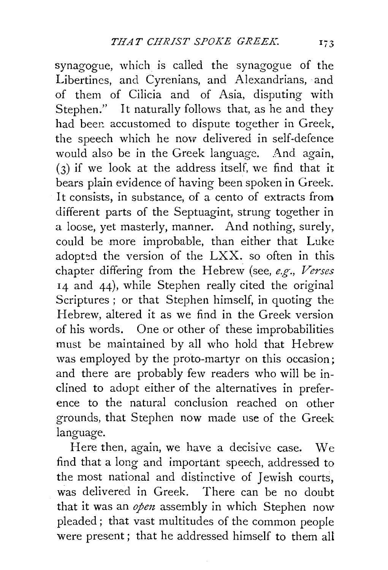synagogue, which is called the synagogue of the Libertines, and Cyrenians, and Alexandrians, and of them of Cilicia and of Asia, disputing with Stephen." It naturally follows that, as he and they had been accustomed to dispute together in Greek, the speech which he now delivered in self-defence would also be in the Greek language. And again, (3) if we look at the address itself, we find that it bears plain evidence of having been spoken in Greek. It consists, in substance, of a cento of extracts from different parts of the Septuagint, strung together in a loose, yet masterly, manner. And nothing, surely, could be more improbable, than either that Luke adopted the version of the LXX. so often in this chapter differing from the Hebrew (see, *e.g-., Verses*  14 and 44), while Stephen really cited the original Scriptures ; or that Stephen himself, in quoting the Hebrew, altered it as we find in the Greek version of his words. One or other of these improbabilities must be maintained by all who hold that Hebrew was employed by the proto-martyr on this occasion; and there are probably few readers who will be inclined to adopt either of the alternatives in preference to the natural conclusion reached on other grounds, that Stephen now made use of the Greek language.

Here then, again, we have a decisive case. We find that a long and important speech, addressed to the most national and distinctive of Jewish courts, was delivered in Greek. There can be no doubt that it was an *open* assembly in which Stephen now pleaded; that vast multitudes of the common people were present ; that he addressed himself to them all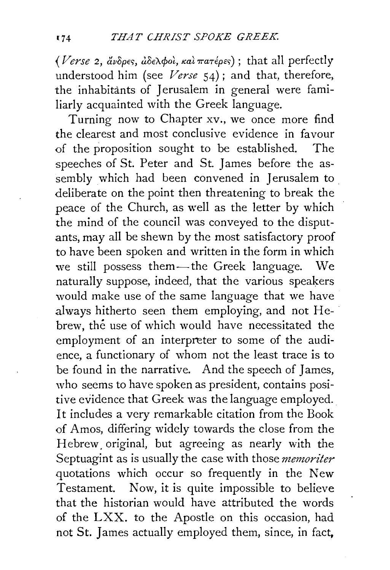*(Verse 2, ἄνδρες, ἀδελφοὶ, καὶ πατέρες*); that all perfectly understood him (see *Verse* 54); and that, therefore, the inhabitants of Jerusalem in general were familiarly acquainted with the Greek language.

Turning now to Chapter xv., we once more find the clearest and most conclusive evidence in favour of the proposition sought to be established. The speeches of St. Peter and St. James before the assembly which had been convened in Jerusalem to deliberate on the point then threatening to break the peace of the Church, as well as the letter by which the mind of the council was conveyed to the disputants, may all be shewn by the most satisfactory proof to have been spoken and written in the form in which we still possess them-the Greek language. We naturally suppose, indeed, that the various speakers would make use of the same language that we have .always hitherto seen them employing, and not Hebrew, the use of which would have necessitated the employment of an interpreter to some of the audience, a functionary of whom not the least trace is to be found in the narrative. And the speech of James, who seems to have spoken as president, contains positive evidence that Greek was the language employed. It includes a very remarkable citation from the Book of Amos, differing widely towards the close from the Hebrew. original, but agreeing as nearly with the Septuagint as is usually the case with those *memoriter*  quotations which occur so frequently in the New Testament. Now, it is quite impossible to believe that the historian would have attributed the words of the LXX. to the Apostle on this occasion, had not St. James actually employed them, since, in fact.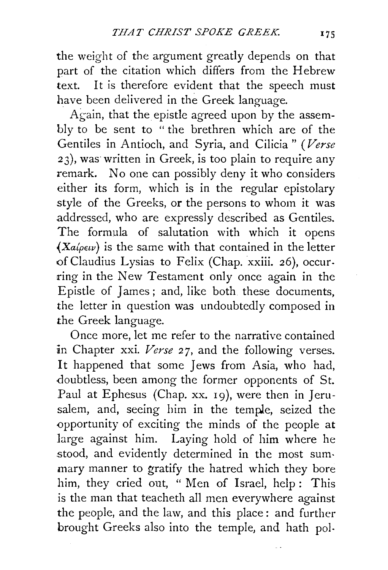the weight of the argument greatly depends on that part of the citation which differs from the Hebrew text. It is therefore evident that the speech must have been delivered in the Greek language.

Again, that the epistle agreed upon by the assembly to be sent to "the brethren which are of the Gentiles in Antioch, and Syria, and Cilicia " *(Verse*  23), was written in Greek, is too plain to require any remark. No one can possibly deny it who considers either its form, which is in the regular epistolary style of the Greeks, or the persons to whom it was .addressed, who are expressly described as Gentiles. The formula of salutation with which it opens  $(Xa\varphi \epsilon \nu)$  is the same with that contained in the letter of Claudius Lysias to Felix (Chap. xxiii. 26), occurring in the New Testament only once again in the Epistle of James; and, like both these documents, the letter in question was undoubtedly composed in the Greek language.

Once more, let me refer to the narrative contained in Chapter xxi. *Verse* 27, and the following verses. It happened that some Jews from Asia, who had, doubtless, been among the former opponents of St. Paul at Ephesus (Chap. xx. 19), were then in Jerusalem, and, seeing him in the temple, seized the opportunity of exciting the minds of the people at large against him. Laying hold of him where he stood, and evidently determined in the most summary manner to gratify the hatred which they bore him, they cried out, " Men of Israel, help : This is the man that teacheth all men everywhere against the people, and the law, and this place : and further brought Greeks also into the temple, and hath pol